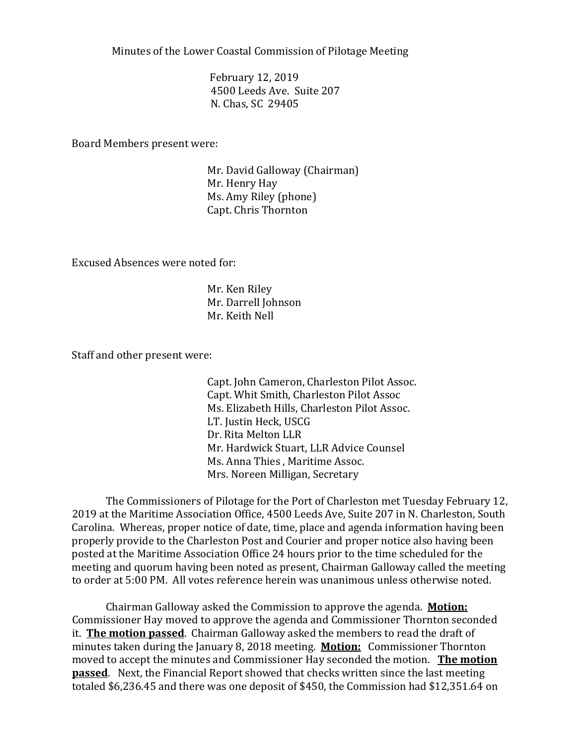Minutes of the Lower Coastal Commission of Pilotage Meeting

February 12, 2019 4500 Leeds Ave. Suite 207 N. Chas, SC 29405

Board Members present were:

Mr. David Galloway (Chairman) Mr. Henry Hay Ms. Amy Riley (phone) Capt. Chris Thornton

Excused Absences were noted for:

Mr. Ken Riley Mr. Darrell Johnson Mr. Keith Nell

Staff and other present were:

Capt. John Cameron, Charleston Pilot Assoc. Capt. Whit Smith, Charleston Pilot Assoc Ms. Elizabeth Hills, Charleston Pilot Assoc. LT. Justin Heck, USCG Dr. Rita Melton LLR Mr. Hardwick Stuart, LLR Advice Counsel Ms. Anna Thies , Maritime Assoc. Mrs. Noreen Milligan, Secretary

The Commissioners of Pilotage for the Port of Charleston met Tuesday February 12, 2019 at the Maritime Association Office, 4500 Leeds Ave, Suite 207 in N. Charleston, South Carolina. Whereas, proper notice of date, time, place and agenda information having been properly provide to the Charleston Post and Courier and proper notice also having been posted at the Maritime Association Office 24 hours prior to the time scheduled for the meeting and quorum having been noted as present, Chairman Galloway called the meeting to order at 5:00 PM. All votes reference herein was unanimous unless otherwise noted.

Chairman Galloway asked the Commission to approve the agenda. **Motion:** Commissioner Hay moved to approve the agenda and Commissioner Thornton seconded it. **The motion passed**. Chairman Galloway asked the members to read the draft of minutes taken during the January 8, 2018 meeting. **Motion:** Commissioner Thornton moved to accept the minutes and Commissioner Hay seconded the motion. **The motion passed**. Next, the Financial Report showed that checks written since the last meeting totaled \$6,236.45 and there was one deposit of \$450, the Commission had \$12,351.64 on